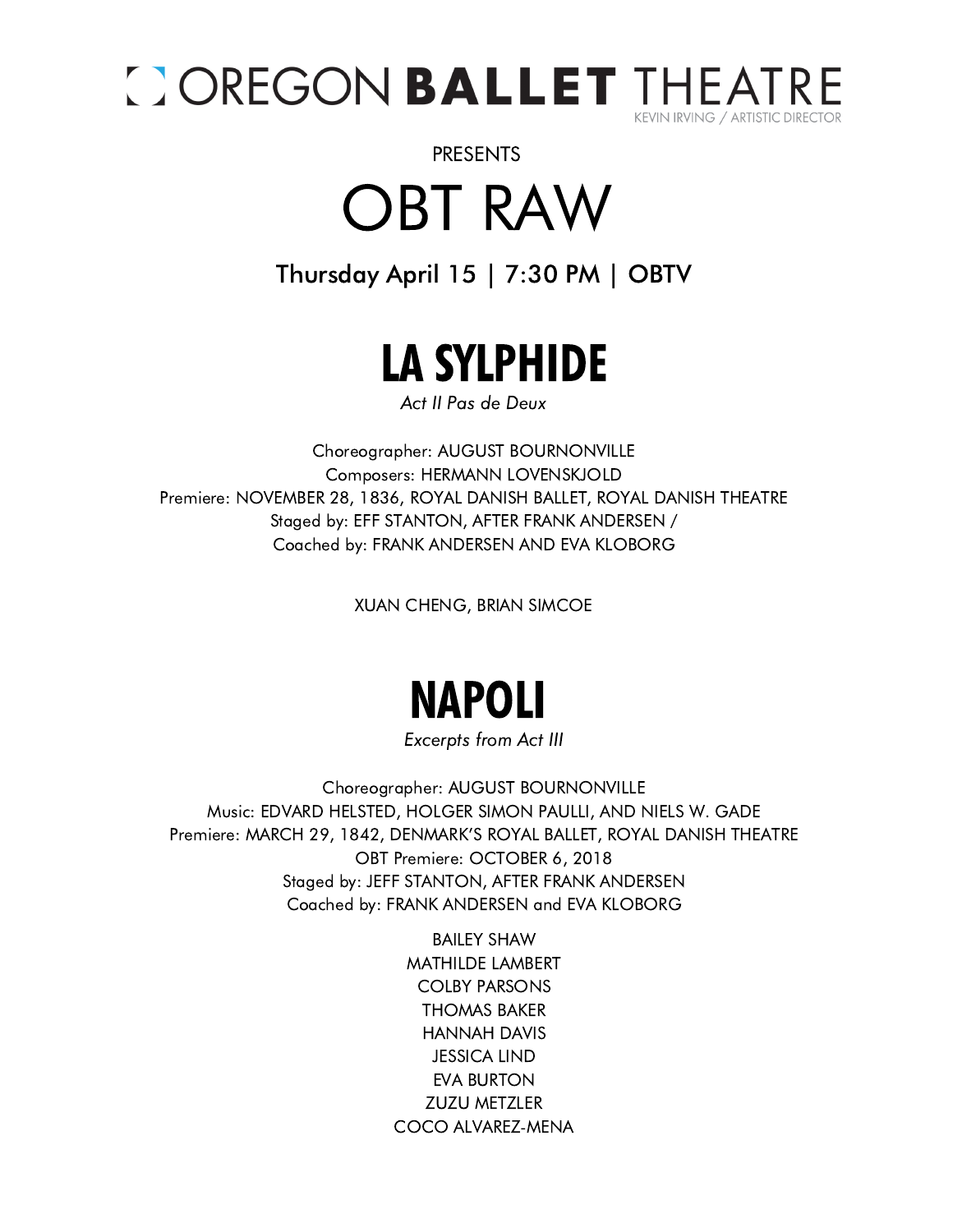

### OBT RAW PRESENTS

#### Thursday April 15 | 7:30 PM | OBTV



Act II Pas de Deux

Choreographer: AUGUST BOURNONVILLE Composers: HERMANN LOVENSKJOLD Premiere: NOVEMBER 28, 1836, ROYAL DANISH BALLET, ROYAL DANISH THEATRE Staged by: EFF STANTON, AFTER FRANK ANDERSEN / Coached by: FRANK ANDERSEN AND EVA KLOBORG

XUAN CHENG, BRIAN SIMCOE

# NAPOLI

Excerpts from Act III

Choreographer: AUGUST BOURNONVILLE Music: EDVARD HELSTED, HOLGER SIMON PAULLI, AND NIELS W. GADE Premiere: MARCH 29, 1842, DENMARK'S ROYAL BALLET, ROYAL DANISH THEATRE OBT Premiere: OCTOBER 6, 2018 Staged by: JEFF STANTON, AFTER FRANK ANDERSEN Coached by: FRANK ANDERSEN and EVA KLOBORG

> BAILEY SHAW MATHILDE LAMBERT COLBY PARSONS THOMAS BAKER HANNAH DAVIS JESSICA LIND EVA BURTON ZUZU METZLER COCO ALVAREZ-MENA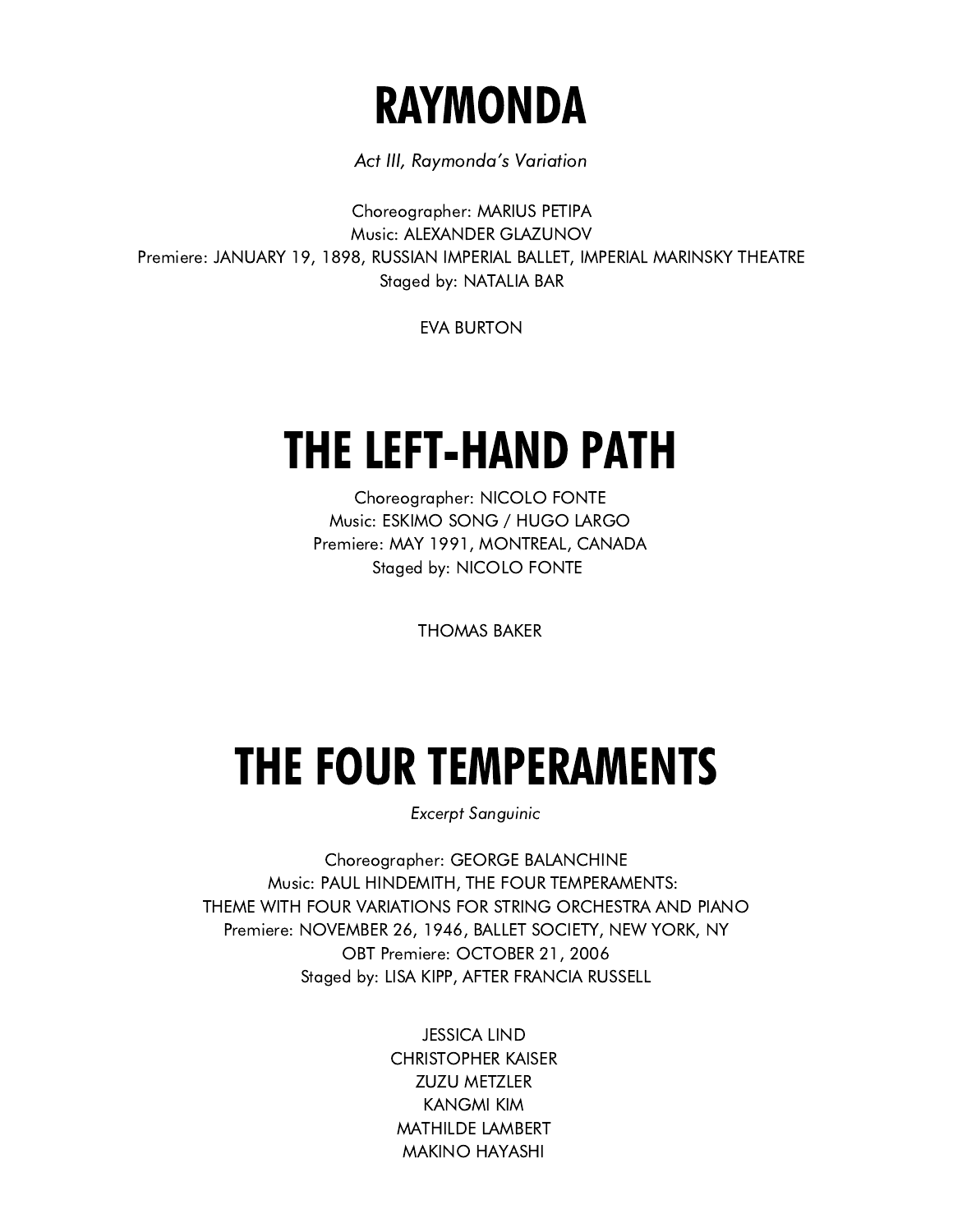## RAYMONDA

Act III, Raymonda's Variation

info@harpersecurity.org where  $\mathcal{N}$ Choreographer: MARIUS PETIPA Music: ALEXANDER GLAZUNOV Premiere: JANUARY 19, 1898, RUSSIAN IMPERIAL BALLET, IMPERIAL MARINSKY THEATRE Staged by: NATALIA BAR

EVA BURTON

# THE LEFT-HAND PATH

Choreographer: NICOLO FONTE Music: ESKIMO SONG / HUGO LARGO Premiere: MAY 1991, MONTREAL, CANADA Staged by: NICOLO FONTE

THOMAS BAKER

# THE FOUR TEMPERAMENTS

Excerpt Sanguinic

Choreographer: GEORGE BALANCHINE Music: PAUL HINDEMITH, THE FOUR TEMPERAMENTS: THEME WITH FOUR VARIATIONS FOR STRING ORCHESTRA AND PIANO Premiere: NOVEMBER 26, 1946, BALLET SOCIETY, NEW YORK, NY OBT Premiere: OCTOBER 21, 2006 Staged by: LISA KIPP, AFTER FRANCIA RUSSELL

> JESSICA LIND CHRISTOPHER KAISER ZUZU METZLER KANGMI KIM MATHILDE LAMBERT MAKINO HAYASHI